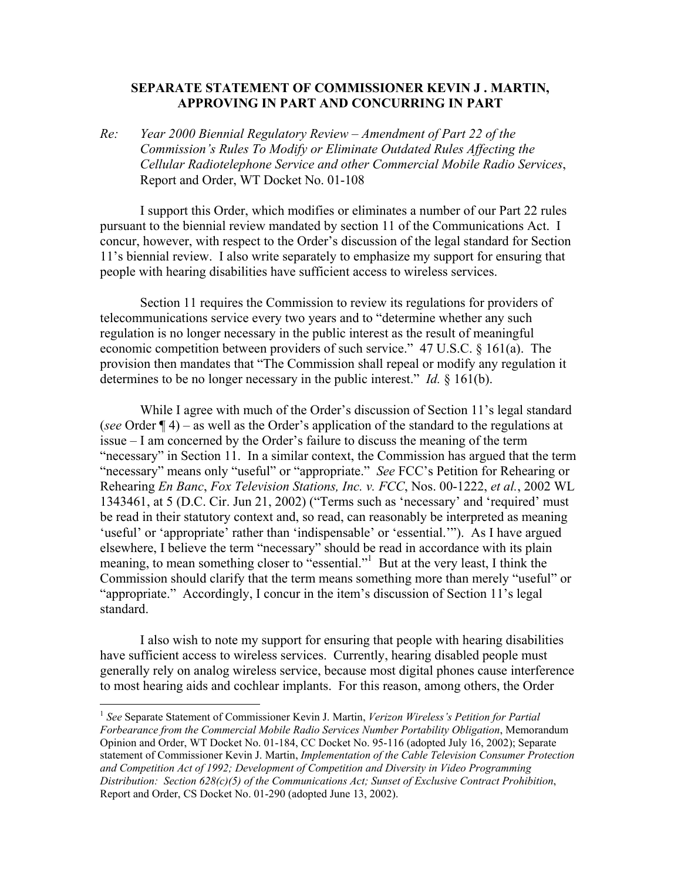## **SEPARATE STATEMENT OF COMMISSIONER KEVIN J . MARTIN, APPROVING IN PART AND CONCURRING IN PART**

*Re: Year 2000 Biennial Regulatory Review – Amendment of Part 22 of the Commission's Rules To Modify or Eliminate Outdated Rules Affecting the Cellular Radiotelephone Service and other Commercial Mobile Radio Services*, Report and Order, WT Docket No. 01-108

 I support this Order, which modifies or eliminates a number of our Part 22 rules pursuant to the biennial review mandated by section 11 of the Communications Act. I concur, however, with respect to the Order's discussion of the legal standard for Section 11's biennial review. I also write separately to emphasize my support for ensuring that people with hearing disabilities have sufficient access to wireless services.

 Section 11 requires the Commission to review its regulations for providers of telecommunications service every two years and to "determine whether any such regulation is no longer necessary in the public interest as the result of meaningful economic competition between providers of such service." 47 U.S.C. § 161(a). The provision then mandates that "The Commission shall repeal or modify any regulation it determines to be no longer necessary in the public interest." *Id.* § 161(b).

 While I agree with much of the Order's discussion of Section 11's legal standard (*see* Order ¶ 4) – as well as the Order's application of the standard to the regulations at issue – I am concerned by the Order's failure to discuss the meaning of the term "necessary" in Section 11. In a similar context, the Commission has argued that the term "necessary" means only "useful" or "appropriate." *See* FCC's Petition for Rehearing or Rehearing *En Banc*, *Fox Television Stations, Inc. v. FCC*, Nos. 00-1222, *et al.*, 2002 WL 1343461, at 5 (D.C. Cir. Jun 21, 2002) ("Terms such as 'necessary' and 'required' must be read in their statutory context and, so read, can reasonably be interpreted as meaning 'useful' or 'appropriate' rather than 'indispensable' or 'essential.'"). As I have argued elsewhere, I believe the term "necessary" should be read in accordance with its plain meaning, to mean something closer to "essential."<sup>1</sup> But at the very least, I think the Commission should clarify that the term means something more than merely "useful" or "appropriate." Accordingly, I concur in the item's discussion of Section 11's legal standard.

 I also wish to note my support for ensuring that people with hearing disabilities have sufficient access to wireless services. Currently, hearing disabled people must generally rely on analog wireless service, because most digital phones cause interference to most hearing aids and cochlear implants. For this reason, among others, the Order

 $\overline{a}$ 

<sup>1</sup> *See* Separate Statement of Commissioner Kevin J. Martin, *Verizon Wireless's Petition for Partial Forbearance from the Commercial Mobile Radio Services Number Portability Obligation*, Memorandum Opinion and Order, WT Docket No. 01-184, CC Docket No. 95-116 (adopted July 16, 2002); Separate statement of Commissioner Kevin J. Martin, *Implementation of the Cable Television Consumer Protection and Competition Act of 1992; Development of Competition and Diversity in Video Programming Distribution: Section 628(c)(5) of the Communications Act; Sunset of Exclusive Contract Prohibition*, Report and Order, CS Docket No. 01-290 (adopted June 13, 2002).